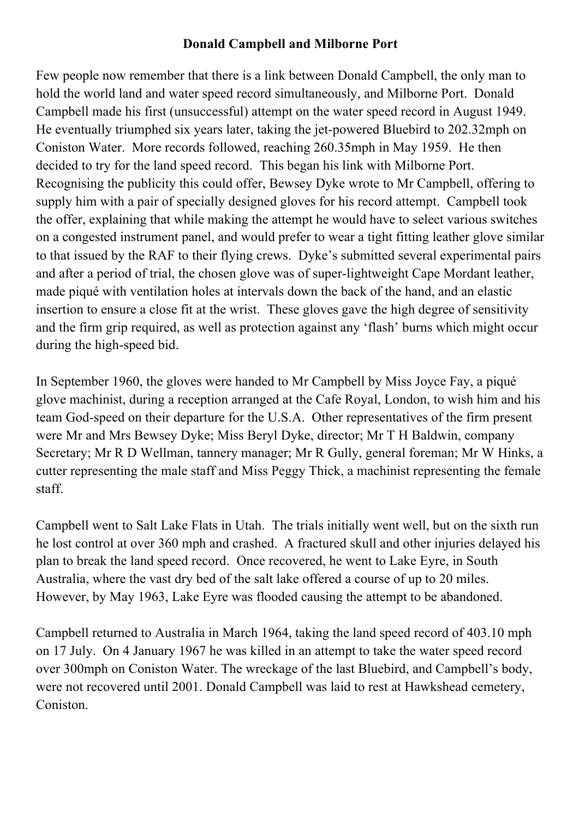## **Donald Campbell and Milborne Port**

Few people now remember that there is a link between Donald Campbell, the only man to hold the world land and water speed record simultaneously, and Milborne Port. Donald Campbell made his first (unsuccessful) attempt on the water speed record in August 1949. He eventually triumphed six years later, taking the jet-powered Bluebird to 202.32mph on Coniston Water. More records followed, reaching 260.35mph in May 1959. He then decided to try for the land speed record. This began his link with Milborne Port. Recognising the publicity this could offer, Bewsey Dyke wrote to Mr Campbell, offering to supply him with a pair of specially designed gloves for his record attempt. Campbell took the offer, explaining that while making the attempt he would have to select various switches on a congested instrument panel, and would prefer to wear a tight fitting leather glove similar to that issued by the RAF to their flying crews. Dyke's submitted several experimental pairs and after a period of trial, the chosen glove was of super-lightweight Cape Mordant leather, made piqué with ventilation holes at intervals down the back of the hand, and an elastic insertion to ensure a close fit at the wrist. These gloves gave the high degree of sensitivity and the firm grip required, as well as protection against any 'flash' burns which might occur during the high-speed bid.

In September 1960, the gloves were handed to Mr Campbell by Miss Joyce Fay, a piqué glove machinist, during a reception arranged at the Cafe Royal, London, to wish him and his team God-speed on their departure for the U.S.A. Other representatives of the firm present were Mr and Mrs Bewsey Dyke; Miss Beryl Dyke, director; Mr T H Baldwin, company Secretary; Mr R D Wellman, tannery manager; Mr R Gully, general foreman; Mr W Hinks, a cutter representing the male staff and Miss Peggy Thick, a machinist representing the female staff.

Campbell went to Salt Lake Flats in Utah. The trials initially went well, but on the sixth run he lost control at over 360 mph and crashed. A fractured skull and other injuries delayed his plan to break the land speed record. Once recovered, he went to Lake Eyre, in South Australia, where the vast dry bed of the salt lake offered a course of up to 20 miles. However, by May 1963, Lake Eyre was flooded causing the attempt to be abandoned.

Campbell returned to Australia in March 1964, taking the land speed record of 403.10 mph on 17 July. On 4 January 1967 he was killed in an attempt to take the water speed record over 300mph on Coniston Water. The wreckage of the last Bluebird, and Campbell's body, were not recovered until 2001. Donald Campbell was laid to rest at Hawkshead cemetery, Coniston.